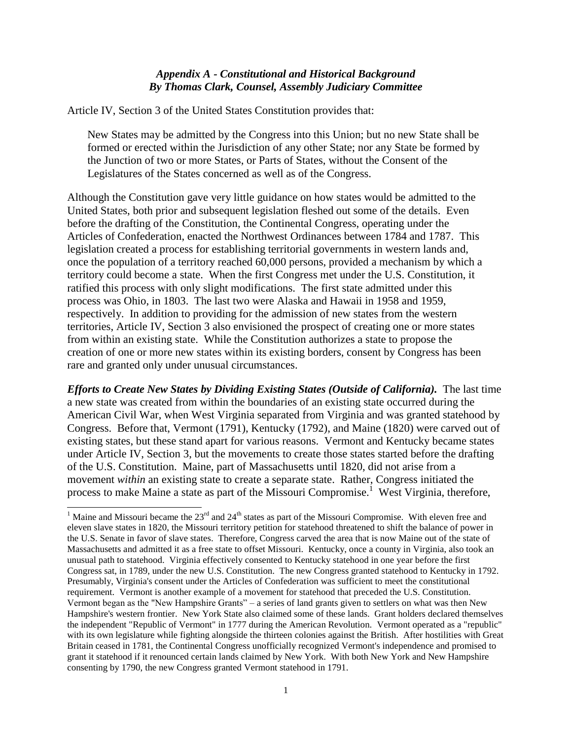## *Appendix A - Constitutional and Historical Background By Thomas Clark, Counsel, Assembly Judiciary Committee*

Article IV, Section 3 of the United States Constitution provides that:

New States may be admitted by the Congress into this Union; but no new State shall be formed or erected within the Jurisdiction of any other State; nor any State be formed by the Junction of two or more States, or Parts of States, without the Consent of the Legislatures of the States concerned as well as of the Congress.

Although the Constitution gave very little guidance on how states would be admitted to the United States, both prior and subsequent legislation fleshed out some of the details. Even before the drafting of the Constitution, the Continental Congress, operating under the Articles of Confederation, enacted the Northwest Ordinances between 1784 and 1787. This legislation created a process for establishing territorial governments in western lands and, once the population of a territory reached 60,000 persons, provided a mechanism by which a territory could become a state. When the first Congress met under the U.S. Constitution, it ratified this process with only slight modifications. The first state admitted under this process was Ohio, in 1803. The last two were Alaska and Hawaii in 1958 and 1959, respectively. In addition to providing for the admission of new states from the western territories, Article IV, Section 3 also envisioned the prospect of creating one or more states from within an existing state. While the Constitution authorizes a state to propose the creation of one or more new states within its existing borders, consent by Congress has been rare and granted only under unusual circumstances.

*Efforts to Create New States by Dividing Existing States (Outside of California).* The last time a new state was created from within the boundaries of an existing state occurred during the American Civil War, when West Virginia separated from Virginia and was granted statehood by Congress. Before that, Vermont (1791), Kentucky (1792), and Maine (1820) were carved out of existing states, but these stand apart for various reasons. Vermont and Kentucky became states under Article IV, Section 3, but the movements to create those states started before the drafting of the U.S. Constitution. Maine, part of Massachusetts until 1820, did not arise from a movement *within* an existing state to create a separate state. Rather, Congress initiated the process to make Maine a state as part of the Missouri Compromise.<sup>1</sup> West Virginia, therefore,

l

<sup>&</sup>lt;sup>1</sup> Maine and Missouri became the  $23<sup>rd</sup>$  and  $24<sup>th</sup>$  states as part of the Missouri Compromise. With eleven free and eleven slave states in 1820, the Missouri territory petition for statehood threatened to shift the balance of power in the U.S. Senate in favor of slave states. Therefore, Congress carved the area that is now Maine out of the state of Massachusetts and admitted it as a free state to offset Missouri. Kentucky, once a county in Virginia, also took an unusual path to statehood. Virginia effectively consented to Kentucky statehood in one year before the first Congress sat, in 1789, under the new U.S. Constitution. The new Congress granted statehood to Kentucky in 1792. Presumably, Virginia's consent under the Articles of Confederation was sufficient to meet the constitutional requirement. Vermont is another example of a movement for statehood that preceded the U.S. Constitution. Vermont began as the "New Hampshire Grants" – a series of land grants given to settlers on what was then New Hampshire's western frontier. New York State also claimed some of these lands. Grant holders declared themselves the independent "Republic of Vermont" in 1777 during the American Revolution. Vermont operated as a "republic" with its own legislature while fighting alongside the thirteen colonies against the British. After hostilities with Great Britain ceased in 1781, the Continental Congress unofficially recognized Vermont's independence and promised to grant it statehood if it renounced certain lands claimed by New York. With both New York and New Hampshire consenting by 1790, the new Congress granted Vermont statehood in 1791.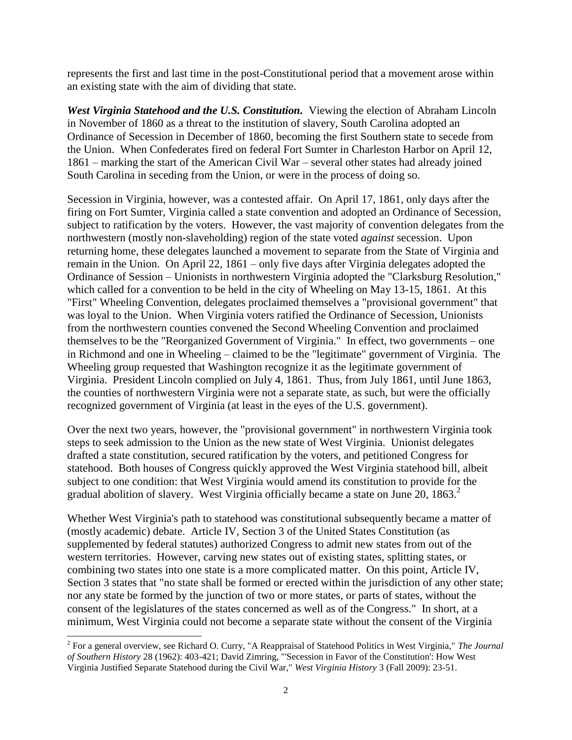represents the first and last time in the post-Constitutional period that a movement arose within an existing state with the aim of dividing that state.

*West Virginia Statehood and the U.S. Constitution.* Viewing the election of Abraham Lincoln in November of 1860 as a threat to the institution of slavery, South Carolina adopted an Ordinance of Secession in December of 1860, becoming the first Southern state to secede from the Union. When Confederates fired on federal Fort Sumter in Charleston Harbor on April 12, 1861 – marking the start of the American Civil War – several other states had already joined South Carolina in seceding from the Union, or were in the process of doing so.

Secession in Virginia, however, was a contested affair. On April 17, 1861, only days after the firing on Fort Sumter, Virginia called a state convention and adopted an Ordinance of Secession, subject to ratification by the voters. However, the vast majority of convention delegates from the northwestern (mostly non-slaveholding) region of the state voted *against* secession. Upon returning home, these delegates launched a movement to separate from the State of Virginia and remain in the Union. On April 22, 1861 – only five days after Virginia delegates adopted the Ordinance of Session – Unionists in northwestern Virginia adopted the "Clarksburg Resolution," which called for a convention to be held in the city of Wheeling on May 13-15, 1861. At this "First" Wheeling Convention, delegates proclaimed themselves a "provisional government" that was loyal to the Union. When Virginia voters ratified the Ordinance of Secession, Unionists from the northwestern counties convened the Second Wheeling Convention and proclaimed themselves to be the "Reorganized Government of Virginia." In effect, two governments – one in Richmond and one in Wheeling – claimed to be the "legitimate" government of Virginia. The Wheeling group requested that Washington recognize it as the legitimate government of Virginia. President Lincoln complied on July 4, 1861. Thus, from July 1861, until June 1863, the counties of northwestern Virginia were not a separate state, as such, but were the officially recognized government of Virginia (at least in the eyes of the U.S. government).

Over the next two years, however, the "provisional government" in northwestern Virginia took steps to seek admission to the Union as the new state of West Virginia. Unionist delegates drafted a state constitution, secured ratification by the voters, and petitioned Congress for statehood. Both houses of Congress quickly approved the West Virginia statehood bill, albeit subject to one condition: that West Virginia would amend its constitution to provide for the gradual abolition of slavery. West Virginia officially became a state on June 20,  $1863<sup>2</sup>$ 

Whether West Virginia's path to statehood was constitutional subsequently became a matter of (mostly academic) debate. Article IV, Section 3 of the United States Constitution (as supplemented by federal statutes) authorized Congress to admit new states from out of the western territories. However, carving new states out of existing states, splitting states, or combining two states into one state is a more complicated matter. On this point, Article IV, Section 3 states that "no state shall be formed or erected within the jurisdiction of any other state; nor any state be formed by the junction of two or more states, or parts of states, without the consent of the legislatures of the states concerned as well as of the Congress." In short, at a minimum, West Virginia could not become a separate state without the consent of the Virginia

 2 For a general overview, see Richard O. Curry, "A Reappraisal of Statehood Politics in West Virginia," *The Journal of Southern History* 28 (1962): 403-421; David Zimring, "'Secession in Favor of the Constitution': How West Virginia Justified Separate Statehood during the Civil War," *West Virginia History* 3 (Fall 2009): 23-51.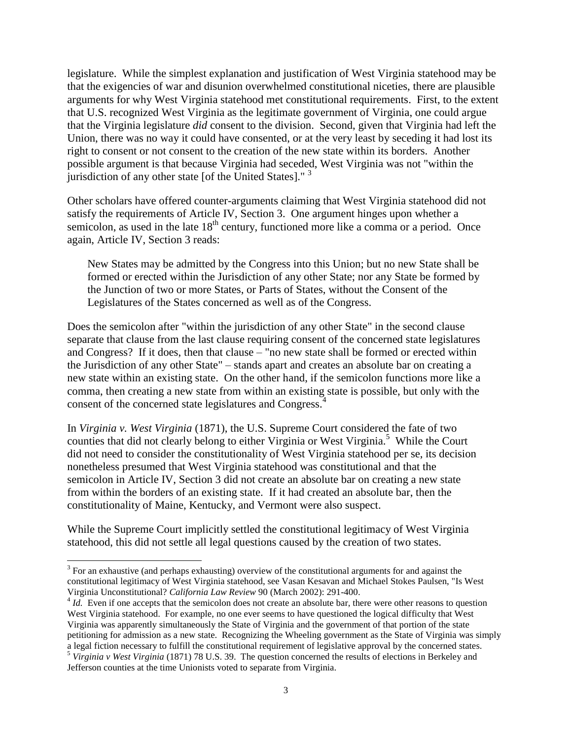legislature. While the simplest explanation and justification of West Virginia statehood may be that the exigencies of war and disunion overwhelmed constitutional niceties, there are plausible arguments for why West Virginia statehood met constitutional requirements. First, to the extent that U.S. recognized West Virginia as the legitimate government of Virginia, one could argue that the Virginia legislature *did* consent to the division. Second, given that Virginia had left the Union, there was no way it could have consented, or at the very least by seceding it had lost its right to consent or not consent to the creation of the new state within its borders. Another possible argument is that because Virginia had seceded, West Virginia was not "within the jurisdiction of any other state [of the United States]." $3$ 

Other scholars have offered counter-arguments claiming that West Virginia statehood did not satisfy the requirements of Article IV, Section 3. One argument hinges upon whether a semicolon, as used in the late  $18<sup>th</sup>$  century, functioned more like a comma or a period. Once again, Article IV, Section 3 reads:

New States may be admitted by the Congress into this Union; but no new State shall be formed or erected within the Jurisdiction of any other State; nor any State be formed by the Junction of two or more States, or Parts of States, without the Consent of the Legislatures of the States concerned as well as of the Congress.

Does the semicolon after "within the jurisdiction of any other State" in the second clause separate that clause from the last clause requiring consent of the concerned state legislatures and Congress? If it does, then that clause – "no new state shall be formed or erected within the Jurisdiction of any other State" – stands apart and creates an absolute bar on creating a new state within an existing state. On the other hand, if the semicolon functions more like a comma, then creating a new state from within an existing state is possible, but only with the consent of the concerned state legislatures and Congress.<sup>4</sup>

In *Virginia v. West Virginia* (1871), the U.S. Supreme Court considered the fate of two counties that did not clearly belong to either Virginia or West Virginia.<sup>5</sup> While the Court did not need to consider the constitutionality of West Virginia statehood per se, its decision nonetheless presumed that West Virginia statehood was constitutional and that the semicolon in Article IV, Section 3 did not create an absolute bar on creating a new state from within the borders of an existing state. If it had created an absolute bar, then the constitutionality of Maine, Kentucky, and Vermont were also suspect.

While the Supreme Court implicitly settled the constitutional legitimacy of West Virginia statehood, this did not settle all legal questions caused by the creation of two states.

 $3$  For an exhaustive (and perhaps exhausting) overview of the constitutional arguments for and against the constitutional legitimacy of West Virginia statehood, see Vasan Kesavan and Michael Stokes Paulsen, "Is West Virginia Unconstitutional? *California Law Review* 90 (March 2002): 291-400.

 $^{4}$  *Id.* Even if one accepts that the semicolon does not create an absolute bar, there were other reasons to question West Virginia statehood. For example, no one ever seems to have questioned the logical difficulty that West Virginia was apparently simultaneously the State of Virginia and the government of that portion of the state petitioning for admission as a new state. Recognizing the Wheeling government as the State of Virginia was simply a legal fiction necessary to fulfill the constitutional requirement of legislative approval by the concerned states.

<sup>5</sup> *Virginia v West Virginia* (1871) 78 U.S. 39. The question concerned the results of elections in Berkeley and Jefferson counties at the time Unionists voted to separate from Virginia.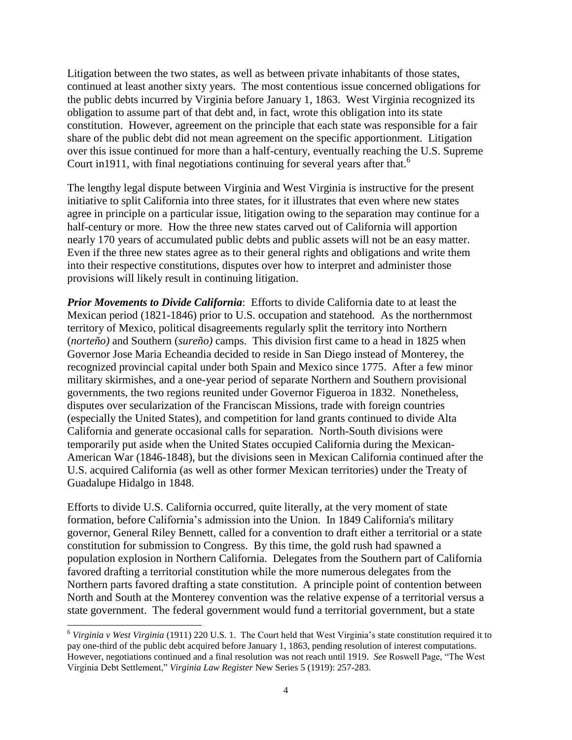Litigation between the two states, as well as between private inhabitants of those states, continued at least another sixty years. The most contentious issue concerned obligations for the public debts incurred by Virginia before January 1, 1863. West Virginia recognized its obligation to assume part of that debt and, in fact, wrote this obligation into its state constitution. However, agreement on the principle that each state was responsible for a fair share of the public debt did not mean agreement on the specific apportionment. Litigation over this issue continued for more than a half-century, eventually reaching the U.S. Supreme Court in 1911, with final negotiations continuing for several years after that.<sup>6</sup>

The lengthy legal dispute between Virginia and West Virginia is instructive for the present initiative to split California into three states, for it illustrates that even where new states agree in principle on a particular issue, litigation owing to the separation may continue for a half-century or more. How the three new states carved out of California will apportion nearly 170 years of accumulated public debts and public assets will not be an easy matter. Even if the three new states agree as to their general rights and obligations and write them into their respective constitutions, disputes over how to interpret and administer those provisions will likely result in continuing litigation.

*Prior Movements to Divide California*: Efforts to divide California date to at least the Mexican period (1821-1846) prior to U.S. occupation and statehood. As the northernmost territory of Mexico, political disagreements regularly split the territory into Northern (*norteño)* and Southern (*sureño)* camps. This division first came to a head in 1825 when Governor Jose Maria Echeandia decided to reside in San Diego instead of Monterey, the recognized provincial capital under both Spain and Mexico since 1775. After a few minor military skirmishes, and a one-year period of separate Northern and Southern provisional governments, the two regions reunited under Governor Figueroa in 1832. Nonetheless, disputes over secularization of the Franciscan Missions, trade with foreign countries (especially the United States), and competition for land grants continued to divide Alta California and generate occasional calls for separation. North-South divisions were temporarily put aside when the United States occupied California during the Mexican-American War (1846-1848), but the divisions seen in Mexican California continued after the U.S. acquired California (as well as other former Mexican territories) under the Treaty of Guadalupe Hidalgo in 1848.

Efforts to divide U.S. California occurred, quite literally, at the very moment of state formation, before California's admission into the Union. In 1849 California's military governor, General Riley Bennett, called for a convention to draft either a territorial or a state constitution for submission to Congress. By this time, the gold rush had spawned a population explosion in Northern California. Delegates from the Southern part of California favored drafting a territorial constitution while the more numerous delegates from the Northern parts favored drafting a state constitution. A principle point of contention between North and South at the Monterey convention was the relative expense of a territorial versus a state government. The federal government would fund a territorial government, but a state

<sup>6</sup> *Virginia v West Virginia* (1911) 220 U.S. 1. The Court held that West Virginia's state constitution required it to pay one-third of the public debt acquired before January 1, 1863, pending resolution of interest computations. However, negotiations continued and a final resolution was not reach until 1919. *See* Roswell Page, "The West Virginia Debt Settlement," *Virginia Law Register* New Series 5 (1919): 257-283.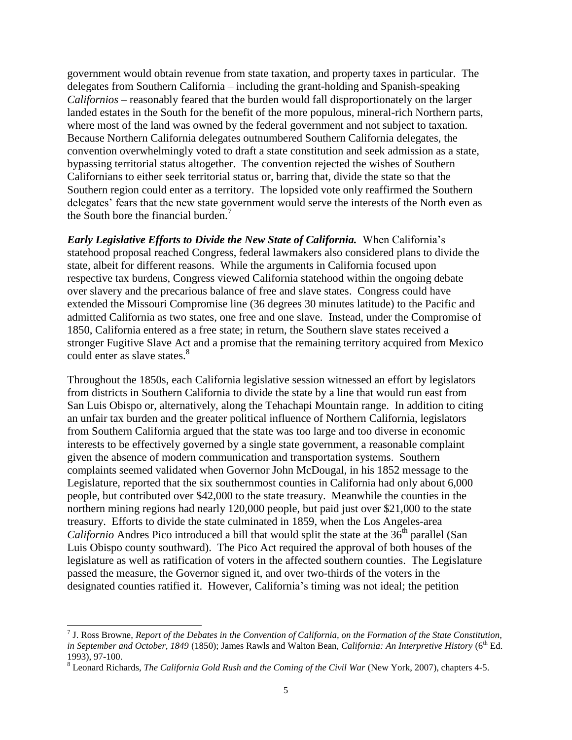government would obtain revenue from state taxation, and property taxes in particular. The delegates from Southern California – including the grant-holding and Spanish-speaking *Californios* – reasonably feared that the burden would fall disproportionately on the larger landed estates in the South for the benefit of the more populous, mineral-rich Northern parts, where most of the land was owned by the federal government and not subject to taxation. Because Northern California delegates outnumbered Southern California delegates, the convention overwhelmingly voted to draft a state constitution and seek admission as a state, bypassing territorial status altogether. The convention rejected the wishes of Southern Californians to either seek territorial status or, barring that, divide the state so that the Southern region could enter as a territory. The lopsided vote only reaffirmed the Southern delegates' fears that the new state government would serve the interests of the North even as the South bore the financial burden.<sup>7</sup>

*Early Legislative Efforts to Divide the New State of California.* When California's statehood proposal reached Congress, federal lawmakers also considered plans to divide the state, albeit for different reasons. While the arguments in California focused upon respective tax burdens, Congress viewed California statehood within the ongoing debate over slavery and the precarious balance of free and slave states. Congress could have extended the Missouri Compromise line (36 degrees 30 minutes latitude) to the Pacific and admitted California as two states, one free and one slave. Instead, under the Compromise of 1850, California entered as a free state; in return, the Southern slave states received a stronger Fugitive Slave Act and a promise that the remaining territory acquired from Mexico could enter as slave states.<sup>8</sup>

Throughout the 1850s, each California legislative session witnessed an effort by legislators from districts in Southern California to divide the state by a line that would run east from San Luis Obispo or, alternatively, along the Tehachapi Mountain range. In addition to citing an unfair tax burden and the greater political influence of Northern California, legislators from Southern California argued that the state was too large and too diverse in economic interests to be effectively governed by a single state government, a reasonable complaint given the absence of modern communication and transportation systems. Southern complaints seemed validated when Governor John McDougal, in his 1852 message to the Legislature, reported that the six southernmost counties in California had only about 6,000 people, but contributed over \$42,000 to the state treasury. Meanwhile the counties in the northern mining regions had nearly 120,000 people, but paid just over \$21,000 to the state treasury. Efforts to divide the state culminated in 1859, when the Los Angeles-area *Californio* Andres Pico introduced a bill that would split the state at the 36<sup>th</sup> parallel (San Luis Obispo county southward). The Pico Act required the approval of both houses of the legislature as well as ratification of voters in the affected southern counties. The Legislature passed the measure, the Governor signed it, and over two-thirds of the voters in the designated counties ratified it. However, California's timing was not ideal; the petition

<sup>7</sup> J. Ross Browne, *Report of the Debates in the Convention of California, on the Formation of the State Constitution, in September and October, 1849* (1850); James Rawls and Walton Bean, *California: An Interpretive History* (6<sup>th</sup> Ed. 1993), 97-100.

<sup>8</sup> Leonard Richards, *The California Gold Rush and the Coming of the Civil War* (New York, 2007), chapters 4-5.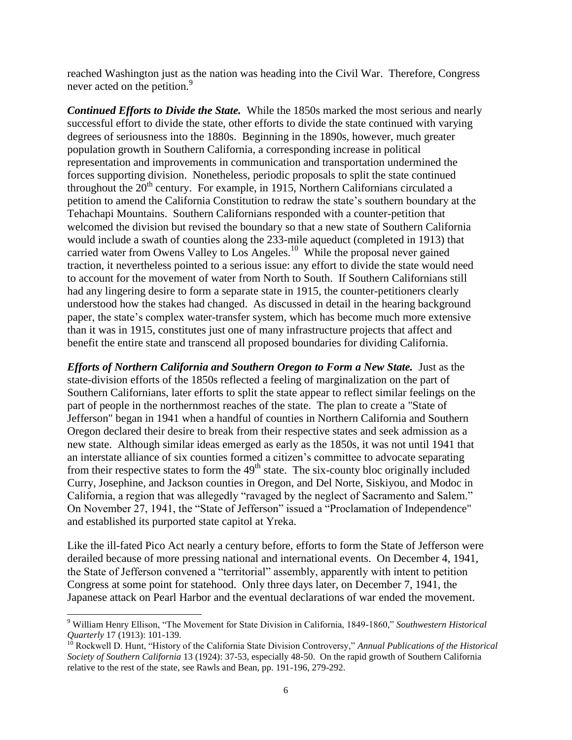reached Washington just as the nation was heading into the Civil War. Therefore, Congress never acted on the petition.<sup>9</sup>

*Continued Efforts to Divide the State.* While the 1850s marked the most serious and nearly successful effort to divide the state, other efforts to divide the state continued with varying degrees of seriousness into the 1880s. Beginning in the 1890s, however, much greater population growth in Southern California, a corresponding increase in political representation and improvements in communication and transportation undermined the forces supporting division. Nonetheless, periodic proposals to split the state continued throughout the  $20<sup>th</sup>$  century. For example, in 1915, Northern Californians circulated a petition to amend the California Constitution to redraw the state's southern boundary at the Tehachapi Mountains. Southern Californians responded with a counter-petition that welcomed the division but revised the boundary so that a new state of Southern California would include a swath of counties along the 233-mile aqueduct (completed in 1913) that carried water from Owens Valley to Los Angeles.<sup>10</sup> While the proposal never gained traction, it nevertheless pointed to a serious issue: any effort to divide the state would need to account for the movement of water from North to South. If Southern Californians still had any lingering desire to form a separate state in 1915, the counter-petitioners clearly understood how the stakes had changed. As discussed in detail in the hearing background paper, the state's complex water-transfer system, which has become much more extensive than it was in 1915, constitutes just one of many infrastructure projects that affect and benefit the entire state and transcend all proposed boundaries for dividing California.

*Efforts of Northern California and Southern Oregon to Form a New State.* Just as the state-division efforts of the 1850s reflected a feeling of marginalization on the part of Southern Californians, later efforts to split the state appear to reflect similar feelings on the part of people in the northernmost reaches of the state. The plan to create a "State of Jefferson" began in 1941 when a handful of counties in Northern California and Southern Oregon declared their desire to break from their respective states and seek admission as a new state. Although similar ideas emerged as early as the 1850s, it was not until 1941 that an interstate alliance of six counties formed a citizen's committee to advocate separating from their respective states to form the  $49<sup>th</sup>$  state. The six-county bloc originally included Curry, Josephine, and Jackson counties in Oregon, and Del Norte, Siskiyou, and Modoc in California, a region that was allegedly "ravaged by the neglect of Sacramento and Salem." On November 27, 1941, the "State of Jefferson" issued a "Proclamation of Independence" and established its purported state capitol at Yreka.

Like the ill-fated Pico Act nearly a century before, efforts to form the State of Jefferson were derailed because of more pressing national and international events. On December 4, 1941, the State of Jefferson convened a "territorial" assembly, apparently with intent to petition Congress at some point for statehood. Only three days later, on December 7, 1941, the Japanese attack on Pearl Harbor and the eventual declarations of war ended the movement.

<sup>9</sup> William Henry Ellison, "The Movement for State Division in California, 1849-1860," *Southwestern Historical Quarterly* 17 (1913): 101-139.

<sup>&</sup>lt;sup>10</sup> Rockwell D. Hunt, "History of the California State Division Controversy," *Annual Publications of the Historical Society of Southern California* 13 (1924): 37-53, especially 48-50. On the rapid growth of Southern California relative to the rest of the state, see Rawls and Bean, pp. 191-196, 279-292.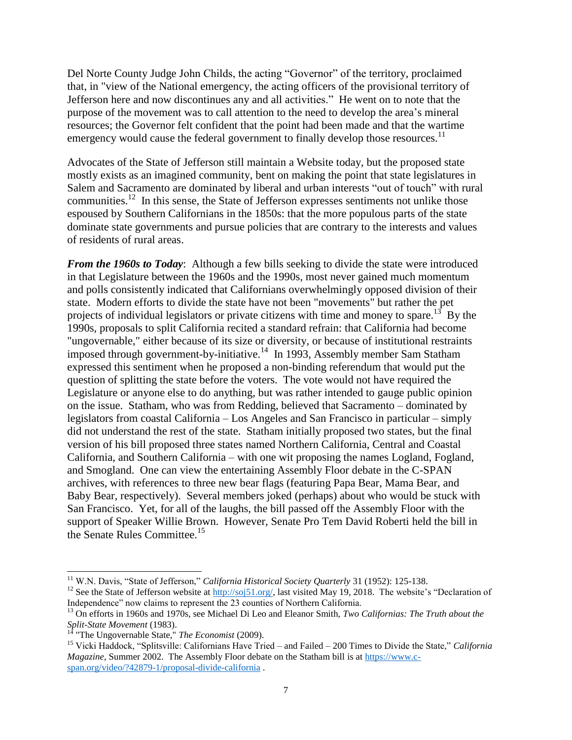Del Norte County Judge John Childs, the acting "Governor" of the territory, proclaimed that, in "view of the National emergency, the acting officers of the provisional territory of Jefferson here and now discontinues any and all activities." He went on to note that the purpose of the movement was to call attention to the need to develop the area's mineral resources; the Governor felt confident that the point had been made and that the wartime emergency would cause the federal government to finally develop those resources.<sup>11</sup>

Advocates of the State of Jefferson still maintain a Website today, but the proposed state mostly exists as an imagined community, bent on making the point that state legislatures in Salem and Sacramento are dominated by liberal and urban interests "out of touch" with rural communities.<sup>12</sup> In this sense, the State of Jefferson expresses sentiments not unlike those espoused by Southern Californians in the 1850s: that the more populous parts of the state dominate state governments and pursue policies that are contrary to the interests and values of residents of rural areas.

*From the 1960s to Today:* Although a few bills seeking to divide the state were introduced in that Legislature between the 1960s and the 1990s, most never gained much momentum and polls consistently indicated that Californians overwhelmingly opposed division of their state. Modern efforts to divide the state have not been "movements" but rather the pet projects of individual legislators or private citizens with time and money to spare.<sup>13</sup> By the 1990s, proposals to split California recited a standard refrain: that California had become "ungovernable," either because of its size or diversity, or because of institutional restraints imposed through government-by-initiative.<sup>14</sup> In 1993, Assembly member Sam Statham expressed this sentiment when he proposed a non-binding referendum that would put the question of splitting the state before the voters. The vote would not have required the Legislature or anyone else to do anything, but was rather intended to gauge public opinion on the issue. Statham, who was from Redding, believed that Sacramento – dominated by legislators from coastal California – Los Angeles and San Francisco in particular – simply did not understand the rest of the state. Statham initially proposed two states, but the final version of his bill proposed three states named Northern California, Central and Coastal California, and Southern California – with one wit proposing the names Logland, Fogland, and Smogland. One can view the entertaining Assembly Floor debate in the C-SPAN archives, with references to three new bear flags (featuring Papa Bear, Mama Bear, and Baby Bear, respectively). Several members joked (perhaps) about who would be stuck with San Francisco. Yet, for all of the laughs, the bill passed off the Assembly Floor with the support of Speaker Willie Brown. However, Senate Pro Tem David Roberti held the bill in the Senate Rules Committee.<sup>15</sup>

l

<sup>&</sup>lt;sup>11</sup> W.N. Davis, "State of Jefferson," *California Historical Society Quarterly* 31 (1952): 125-138.

<sup>&</sup>lt;sup>12</sup> See the State of Jefferson website at [http://soj51.org/,](http://soj51.org/) last visited May 19, 2018. The website's "Declaration of Independence" now claims to represent the 23 counties of Northern California.

<sup>13</sup> On efforts in 1960s and 1970s, see Michael Di Leo and Eleanor Smith, *Two Californias: The Truth about the Split-State Movement* (1983).

<sup>14</sup> "The Ungovernable State," *The Economist* (2009).

<sup>15</sup> Vicki Haddock, "Splitsville: Californians Have Tried – and Failed – 200 Times to Divide the State," *California Magazine,* Summer 2002. The Assembly Floor debate on the Statham bill is at [https://www.c](https://www.c-span.org/video/?42879-1/proposal-divide-california)[span.org/video/?42879-1/proposal-divide-california](https://www.c-span.org/video/?42879-1/proposal-divide-california) .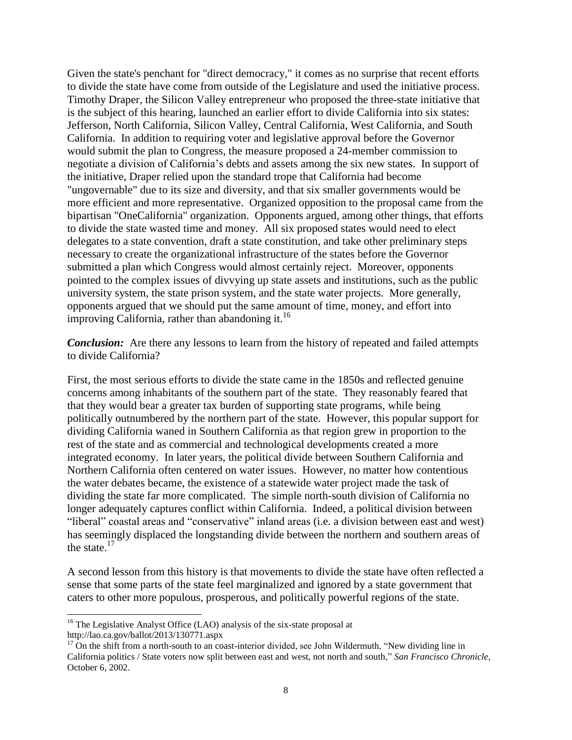Given the state's penchant for "direct democracy," it comes as no surprise that recent efforts to divide the state have come from outside of the Legislature and used the initiative process. Timothy Draper, the Silicon Valley entrepreneur who proposed the three-state initiative that is the subject of this hearing, launched an earlier effort to divide California into six states: Jefferson, North California, Silicon Valley, Central California, West California, and South California. In addition to requiring voter and legislative approval before the Governor would submit the plan to Congress, the measure proposed a 24-member commission to negotiate a division of California's debts and assets among the six new states. In support of the initiative, Draper relied upon the standard trope that California had become "ungovernable" due to its size and diversity, and that six smaller governments would be more efficient and more representative. Organized opposition to the proposal came from the bipartisan "OneCalifornia" organization. Opponents argued, among other things, that efforts to divide the state wasted time and money. All six proposed states would need to elect delegates to a state convention, draft a state constitution, and take other preliminary steps necessary to create the organizational infrastructure of the states before the Governor submitted a plan which Congress would almost certainly reject. Moreover, opponents pointed to the complex issues of divvying up state assets and institutions, such as the public university system, the state prison system, and the state water projects. More generally, opponents argued that we should put the same amount of time, money, and effort into improving California, rather than abandoning it. $16$ 

*Conclusion:* Are there any lessons to learn from the history of repeated and failed attempts to divide California?

First, the most serious efforts to divide the state came in the 1850s and reflected genuine concerns among inhabitants of the southern part of the state. They reasonably feared that that they would bear a greater tax burden of supporting state programs, while being politically outnumbered by the northern part of the state. However, this popular support for dividing California waned in Southern California as that region grew in proportion to the rest of the state and as commercial and technological developments created a more integrated economy. In later years, the political divide between Southern California and Northern California often centered on water issues. However, no matter how contentious the water debates became, the existence of a statewide water project made the task of dividing the state far more complicated. The simple north-south division of California no longer adequately captures conflict within California. Indeed, a political division between "liberal" coastal areas and "conservative" inland areas (i.e. a division between east and west) has seemingly displaced the longstanding divide between the northern and southern areas of the state. $17$ 

A second lesson from this history is that movements to divide the state have often reflected a sense that some parts of the state feel marginalized and ignored by a state government that caters to other more populous, prosperous, and politically powerful regions of the state.

<sup>&</sup>lt;sup>16</sup> The Legislative Analyst Office (LAO) analysis of the six-state proposal at http://lao.ca.gov/ballot/2013/130771.aspx

 $17$  On the shift from a north-south to an coast-interior divided, see John Wildermuth, "New dividing line in California politics / State voters now split between east and west, not north and south," *San Francisco Chronicle,*  October 6, 2002.